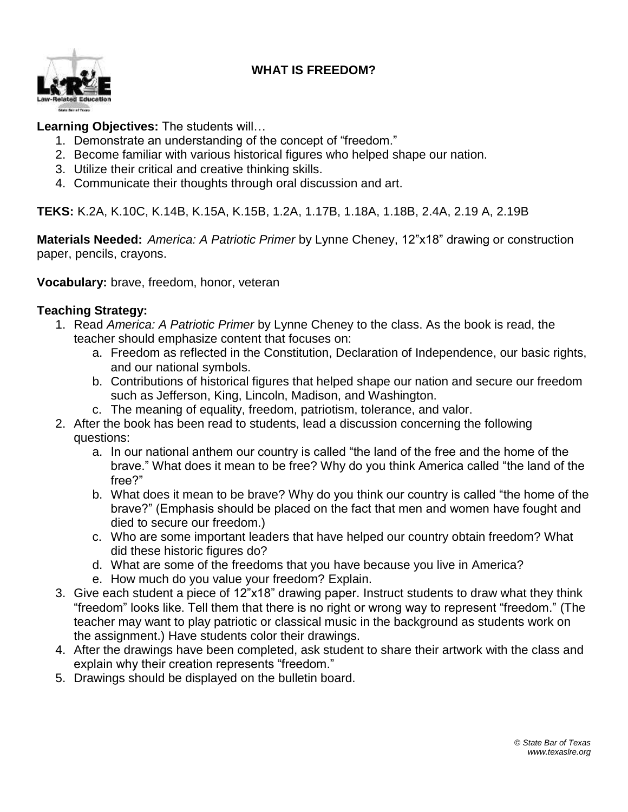## **WHAT IS FREEDOM?**



## **Learning Objectives:** The students will…

- 1. Demonstrate an understanding of the concept of "freedom."
- 2. Become familiar with various historical figures who helped shape our nation.
- 3. Utilize their critical and creative thinking skills.
- 4. Communicate their thoughts through oral discussion and art.

**TEKS:** K.2A, K.10C, K.14B, K.15A, K.15B, 1.2A, 1.17B, 1.18A, 1.18B, 2.4A, 2.19 A, 2.19B

**Materials Needed:** *America: A Patriotic Primer* by Lynne Cheney, 12"x18" drawing or construction paper, pencils, crayons.

**Vocabulary:** brave, freedom, honor, veteran

## **Teaching Strategy:**

- 1. Read *America: A Patriotic Primer* by Lynne Cheney to the class. As the book is read, the teacher should emphasize content that focuses on:
	- a. Freedom as reflected in the Constitution, Declaration of Independence, our basic rights, and our national symbols.
	- b. Contributions of historical figures that helped shape our nation and secure our freedom such as Jefferson, King, Lincoln, Madison, and Washington.
	- c. The meaning of equality, freedom, patriotism, tolerance, and valor.
- 2. After the book has been read to students, lead a discussion concerning the following questions:
	- a. In our national anthem our country is called "the land of the free and the home of the brave." What does it mean to be free? Why do you think America called "the land of the free?"
	- b. What does it mean to be brave? Why do you think our country is called "the home of the brave?" (Emphasis should be placed on the fact that men and women have fought and died to secure our freedom.)
	- c. Who are some important leaders that have helped our country obtain freedom? What did these historic figures do?
	- d. What are some of the freedoms that you have because you live in America?
	- e. How much do you value your freedom? Explain.
- 3. Give each student a piece of 12"x18" drawing paper. Instruct students to draw what they think "freedom" looks like. Tell them that there is no right or wrong way to represent "freedom." (The teacher may want to play patriotic or classical music in the background as students work on the assignment.) Have students color their drawings.
- 4. After the drawings have been completed, ask student to share their artwork with the class and explain why their creation represents "freedom."
- 5. Drawings should be displayed on the bulletin board.